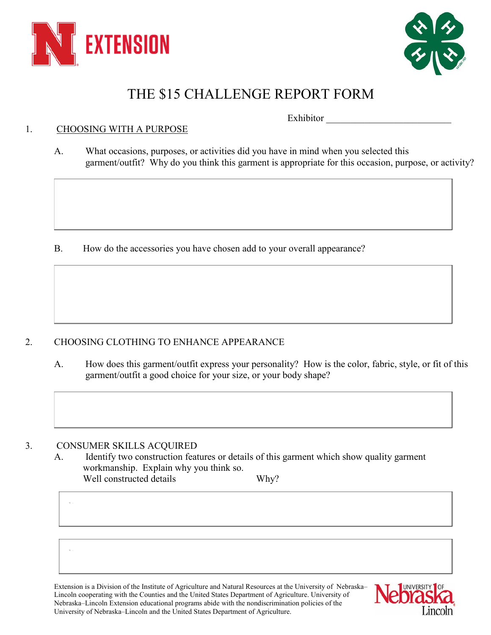



## THE \$15 CHALLENGE REPORT FORM

Exhibitor

## 1. CHOOSING WITH A PURPOSE

A. What occasions, purposes, or activities did you have in mind when you selected this garment/outfit? Why do you think this garment is appropriate for this occasion, purpose, or activity?

B. How do the accessories you have chosen add to your overall appearance?

## 2. CHOOSING CLOTHING TO ENHANCE APPEARANCE

A. How does this garment/outfit express your personality? How is the color, fabric, style, or fit of this garment/outfit a good choice for your size, or your body shape?

## 3. CONSUMER SKILLS ACQUIRED

A. Identify two construction features or details of this garment which show quality garment workmanship. Explain why you think so. Well constructed details Why?

Extension is a Division of the Institute of Agriculture and Natural Resources at the University of Nebraska– Lincoln cooperating with the Counties and the United States Department of Agriculture. University of Nebraska–Lincoln Extension educational programs abide with the nondiscrimination policies of the University of Nebraska–Lincoln and the United States Department of Agriculture.

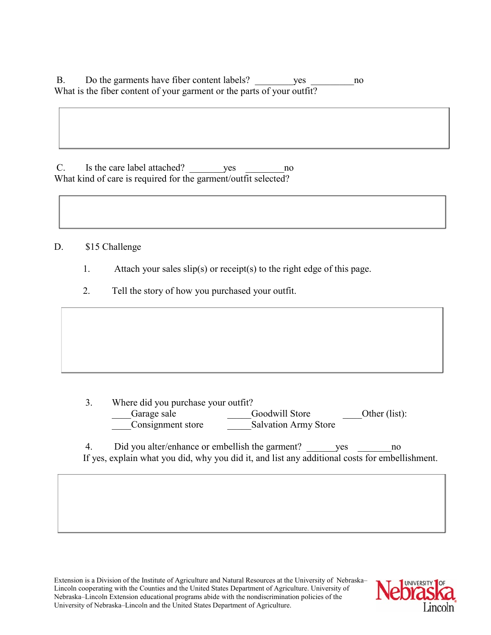B. Do the garments have fiber content labels? yes ho What is the fiber content of your garment or the parts of your outfit?

C. Is the care label attached? yes no What kind of care is required for the garment/outfit selected?

D. \$15 Challenge

- 1. Attach your sales  $slip(s)$  or receipt(s) to the right edge of this page.
- 2. Tell the story of how you purchased your outfit.

3. Where did you purchase your outfit? Garage sale Goodwill Store Other (list): \_\_\_\_Consignment store \_\_\_\_\_Salvation Army Store

4. Did you alter/enhance or embellish the garment? yes ho If yes, explain what you did, why you did it, and list any additional costs for embellishment.

Extension is a Division of the Institute of Agriculture and Natural Resources at the University of Nebraska– Lincoln cooperating with the Counties and the United States Department of Agriculture. University of Nebraska–Lincoln Extension educational programs abide with the nondiscrimination policies of the University of Nebraska–Lincoln and the United States Department of Agriculture.